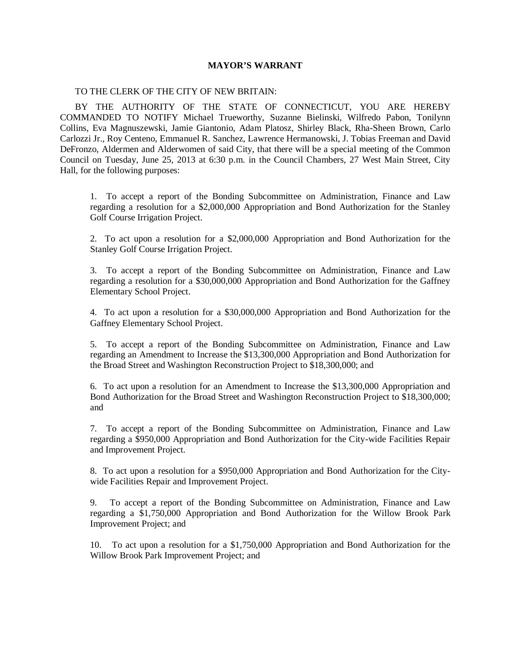## **MAYOR'S WARRANT**

## TO THE CLERK OF THE CITY OF NEW BRITAIN:

BY THE AUTHORITY OF THE STATE OF CONNECTICUT, YOU ARE HEREBY COMMANDED TO NOTIFY Michael Trueworthy, Suzanne Bielinski, Wilfredo Pabon, Tonilynn Collins, Eva Magnuszewski, Jamie Giantonio, Adam Platosz, Shirley Black, Rha-Sheen Brown, Carlo Carlozzi Jr., Roy Centeno, Emmanuel R. Sanchez, Lawrence Hermanowski, J. Tobias Freeman and David DeFronzo, Aldermen and Alderwomen of said City, that there will be a special meeting of the Common Council on Tuesday, June 25, 2013 at 6:30 p.m. in the Council Chambers, 27 West Main Street, City Hall, for the following purposes:

1. To accept a report of the Bonding Subcommittee on Administration, Finance and Law regarding a resolution for a \$2,000,000 Appropriation and Bond Authorization for the Stanley Golf Course Irrigation Project.

2. To act upon a resolution for a \$2,000,000 Appropriation and Bond Authorization for the Stanley Golf Course Irrigation Project.

3. To accept a report of the Bonding Subcommittee on Administration, Finance and Law regarding a resolution for a \$30,000,000 Appropriation and Bond Authorization for the Gaffney Elementary School Project.

4. To act upon a resolution for a \$30,000,000 Appropriation and Bond Authorization for the Gaffney Elementary School Project.

5. To accept a report of the Bonding Subcommittee on Administration, Finance and Law regarding an Amendment to Increase the \$13,300,000 Appropriation and Bond Authorization for the Broad Street and Washington Reconstruction Project to \$18,300,000; and

6. To act upon a resolution for an Amendment to Increase the \$13,300,000 Appropriation and Bond Authorization for the Broad Street and Washington Reconstruction Project to \$18,300,000; and

7. To accept a report of the Bonding Subcommittee on Administration, Finance and Law regarding a \$950,000 Appropriation and Bond Authorization for the City-wide Facilities Repair and Improvement Project.

8. To act upon a resolution for a \$950,000 Appropriation and Bond Authorization for the Citywide Facilities Repair and Improvement Project.

9. To accept a report of the Bonding Subcommittee on Administration, Finance and Law regarding a \$1,750,000 Appropriation and Bond Authorization for the Willow Brook Park Improvement Project; and

10. To act upon a resolution for a \$1,750,000 Appropriation and Bond Authorization for the Willow Brook Park Improvement Project; and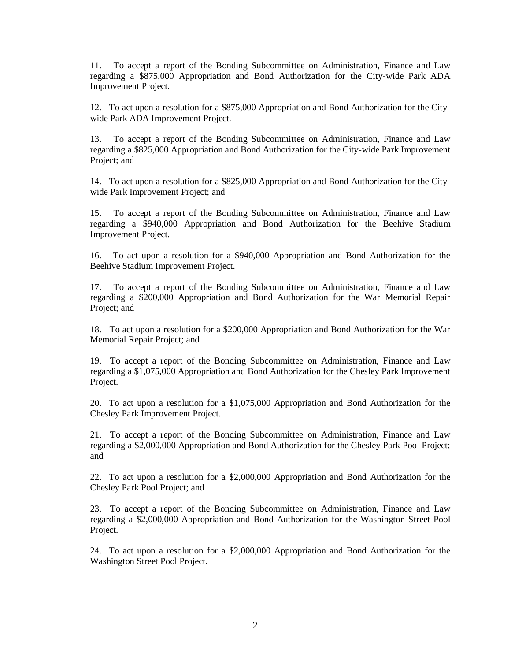11. To accept a report of the Bonding Subcommittee on Administration, Finance and Law regarding a \$875,000 Appropriation and Bond Authorization for the City-wide Park ADA Improvement Project.

12. To act upon a resolution for a \$875,000 Appropriation and Bond Authorization for the Citywide Park ADA Improvement Project.

13. To accept a report of the Bonding Subcommittee on Administration, Finance and Law regarding a \$825,000 Appropriation and Bond Authorization for the City-wide Park Improvement Project; and

14. To act upon a resolution for a \$825,000 Appropriation and Bond Authorization for the Citywide Park Improvement Project; and

15. To accept a report of the Bonding Subcommittee on Administration, Finance and Law regarding a \$940,000 Appropriation and Bond Authorization for the Beehive Stadium Improvement Project.

16. To act upon a resolution for a \$940,000 Appropriation and Bond Authorization for the Beehive Stadium Improvement Project.

17. To accept a report of the Bonding Subcommittee on Administration, Finance and Law regarding a \$200,000 Appropriation and Bond Authorization for the War Memorial Repair Project; and

18. To act upon a resolution for a \$200,000 Appropriation and Bond Authorization for the War Memorial Repair Project; and

19. To accept a report of the Bonding Subcommittee on Administration, Finance and Law regarding a \$1,075,000 Appropriation and Bond Authorization for the Chesley Park Improvement Project.

20. To act upon a resolution for a \$1,075,000 Appropriation and Bond Authorization for the Chesley Park Improvement Project.

21. To accept a report of the Bonding Subcommittee on Administration, Finance and Law regarding a \$2,000,000 Appropriation and Bond Authorization for the Chesley Park Pool Project; and

22. To act upon a resolution for a \$2,000,000 Appropriation and Bond Authorization for the Chesley Park Pool Project; and

23. To accept a report of the Bonding Subcommittee on Administration, Finance and Law regarding a \$2,000,000 Appropriation and Bond Authorization for the Washington Street Pool Project.

24. To act upon a resolution for a \$2,000,000 Appropriation and Bond Authorization for the Washington Street Pool Project.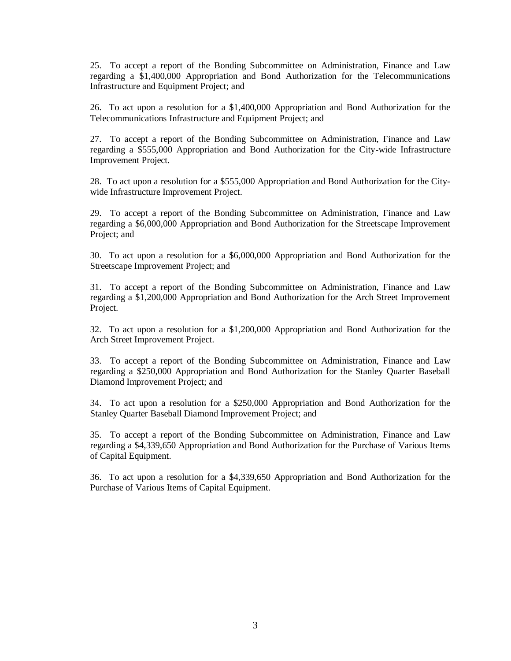25. To accept a report of the Bonding Subcommittee on Administration, Finance and Law regarding a \$1,400,000 Appropriation and Bond Authorization for the Telecommunications Infrastructure and Equipment Project; and

26. To act upon a resolution for a \$1,400,000 Appropriation and Bond Authorization for the Telecommunications Infrastructure and Equipment Project; and

27. To accept a report of the Bonding Subcommittee on Administration, Finance and Law regarding a \$555,000 Appropriation and Bond Authorization for the City-wide Infrastructure Improvement Project.

28. To act upon a resolution for a \$555,000 Appropriation and Bond Authorization for the Citywide Infrastructure Improvement Project.

29. To accept a report of the Bonding Subcommittee on Administration, Finance and Law regarding a \$6,000,000 Appropriation and Bond Authorization for the Streetscape Improvement Project; and

30. To act upon a resolution for a \$6,000,000 Appropriation and Bond Authorization for the Streetscape Improvement Project; and

31. To accept a report of the Bonding Subcommittee on Administration, Finance and Law regarding a \$1,200,000 Appropriation and Bond Authorization for the Arch Street Improvement Project.

32. To act upon a resolution for a \$1,200,000 Appropriation and Bond Authorization for the Arch Street Improvement Project.

33. To accept a report of the Bonding Subcommittee on Administration, Finance and Law regarding a \$250,000 Appropriation and Bond Authorization for the Stanley Quarter Baseball Diamond Improvement Project; and

34. To act upon a resolution for a \$250,000 Appropriation and Bond Authorization for the Stanley Quarter Baseball Diamond Improvement Project; and

35. To accept a report of the Bonding Subcommittee on Administration, Finance and Law regarding a \$4,339,650 Appropriation and Bond Authorization for the Purchase of Various Items of Capital Equipment.

36. To act upon a resolution for a \$4,339,650 Appropriation and Bond Authorization for the Purchase of Various Items of Capital Equipment.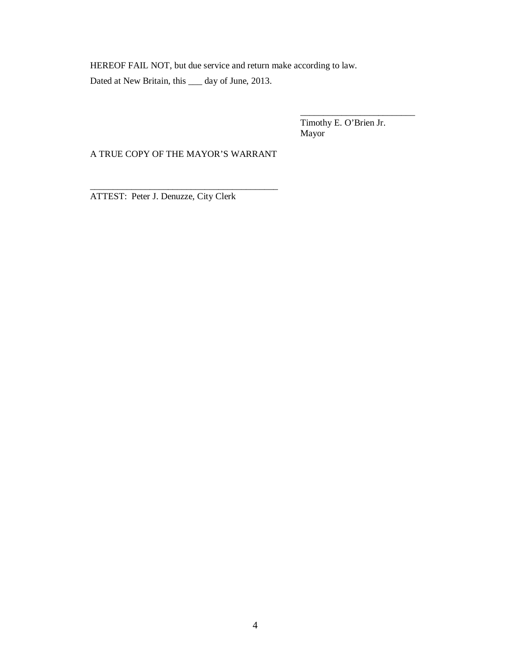HEREOF FAIL NOT, but due service and return make according to law. Dated at New Britain, this \_\_\_ day of June, 2013.

> \_\_\_\_\_\_\_\_\_\_\_\_\_\_\_\_\_\_\_\_\_\_\_\_\_ Timothy E. O'Brien Jr. Mayor

A TRUE COPY OF THE MAYOR'S WARRANT

\_\_\_\_\_\_\_\_\_\_\_\_\_\_\_\_\_\_\_\_\_\_\_\_\_\_\_\_\_\_\_\_\_\_\_\_\_\_\_\_\_ ATTEST: Peter J. Denuzze, City Clerk